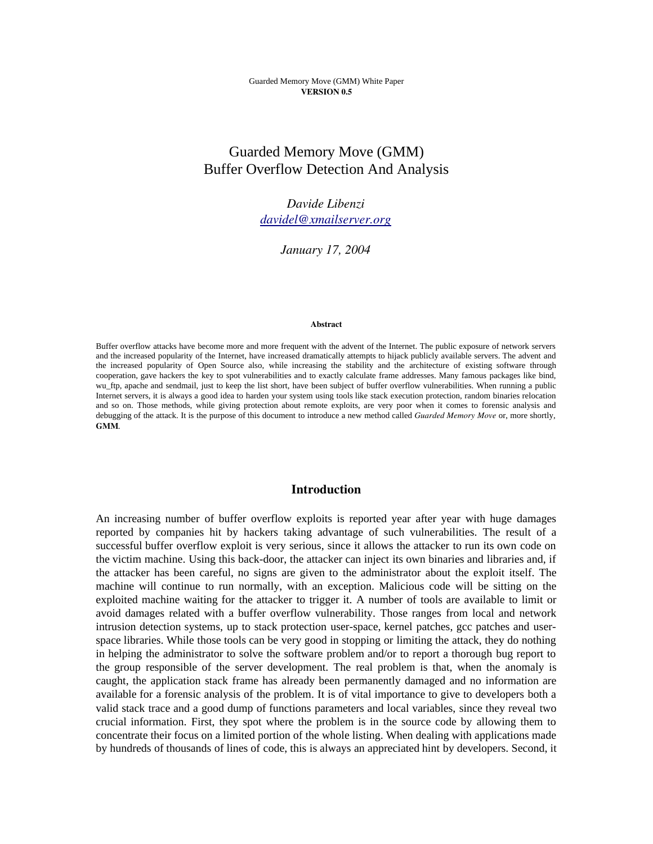# Guarded Memory Move (GMM) Buffer Overflow Detection And Analysis

*Davide Libenzi davidel@xmailserver.org*

*January 17, 2004*

#### Abstract

Buffer overflow attacks have become more and more frequent with the advent of the Internet. The public exposure of network servers and the increased popularity of the Internet, have increased dramatically attempts to hijack publicly available servers. The advent and the increased popularity of Open Source also, while increasing the stability and the architecture of existing software through cooperation, gave hackers the key to spot vulnerabilities and to exactly calculate frame addresses. Many famous packages like bind, wu\_ftp, apache and sendmail, just to keep the list short, have been subject of buffer overflow vulnerabilities. When running a public Internet servers, it is always a good idea to harden your system using tools like stack execution protection, random binaries relocation and so on. Those methods, while giving protection about remote exploits, are very poor when it comes to forensic analysis and debugging of the attack. It is the purpose of this document to introduce a new method called *Guarded Memory Move* or, more shortly, GMM.

### Introduction

An increasing number of buffer overflow exploits is reported year after year with huge damages reported by companies hit by hackers taking advantage of such vulnerabilities. The result of a successful buffer overflow exploit is very serious, since it allows the attacker to run its own code on the victim machine. Using this back-door, the attacker can inject its own binaries and libraries and, if the attacker has been careful, no signs are given to the administrator about the exploit itself. The machine will continue to run normally, with an exception. Malicious code will be sitting on the exploited machine waiting for the attacker to trigger it. A number of tools are available to limit or avoid damages related with a buffer overflow vulnerability. Those ranges from local and network intrusion detection systems, up to stack protection user-space, kernel patches, gcc patches and userspace libraries. While those tools can be very good in stopping or limiting the attack, they do nothing in helping the administrator to solve the software problem and/or to report a thorough bug report to the group responsible of the server development. The real problem is that, when the anomaly is caught, the application stack frame has already been permanently damaged and no information are available for a forensic analysis of the problem. It is of vital importance to give to developers both a valid stack trace and a good dump of functions parameters and local variables, since they reveal two crucial information. First, they spot where the problem is in the source code by allowing them to concentrate their focus on a limited portion of the whole listing. When dealing with applications made by hundreds of thousands of lines of code, this is always an appreciated hint by developers. Second, it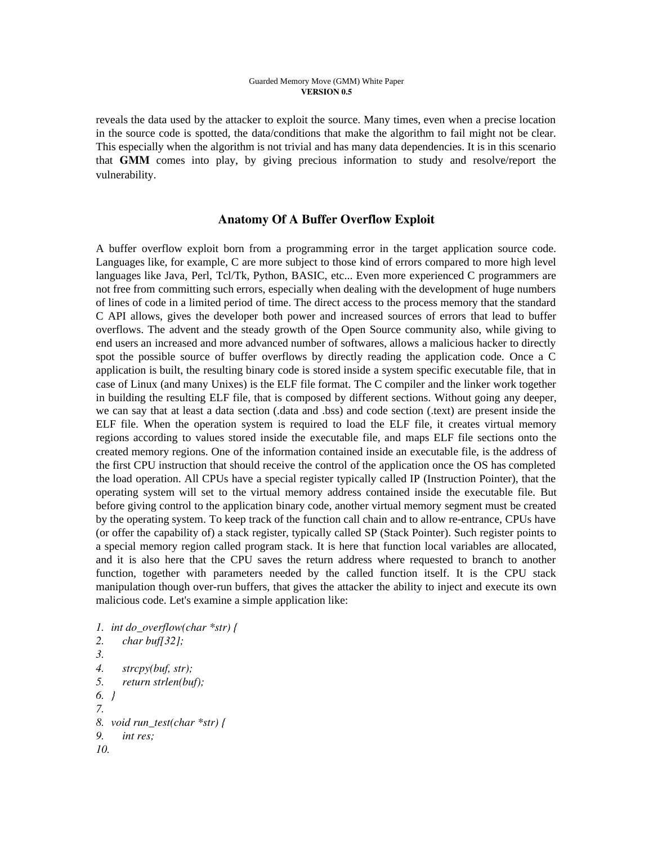reveals the data used by the attacker to exploit the source. Many times, even when a precise location in the source code is spotted, the data/conditions that make the algorithm to fail might not be clear. This especially when the algorithm is not trivial and has many data dependencies. It is in this scenario that GMM comes into play, by giving precious information to study and resolve/report the vulnerability.

### Anatomy Of A Buffer Overflow Exploit

A buffer overflow exploit born from a programming error in the target application source code. Languages like, for example, C are more subject to those kind of errors compared to more high level languages like Java, Perl, Tcl/Tk, Python, BASIC, etc... Even more experienced C programmers are not free from committing such errors, especially when dealing with the development of huge numbers of lines of code in a limited period of time. The direct access to the process memory that the standard C API allows, gives the developer both power and increased sources of errors that lead to buffer overflows. The advent and the steady growth of the Open Source community also, while giving to end users an increased and more advanced number of softwares, allows a malicious hacker to directly spot the possible source of buffer overflows by directly reading the application code. Once a C application is built, the resulting binary code is stored inside a system specific executable file, that in case of Linux (and many Unixes) is the ELF file format. The C compiler and the linker work together in building the resulting ELF file, that is composed by different sections. Without going any deeper, we can say that at least a data section (.data and .bss) and code section (.text) are present inside the ELF file. When the operation system is required to load the ELF file, it creates virtual memory regions according to values stored inside the executable file, and maps ELF file sections onto the created memory regions. One of the information contained inside an executable file, is the address of the first CPU instruction that should receive the control of the application once the OS has completed the load operation. All CPUs have a special register typically called IP (Instruction Pointer), that the operating system will set to the virtual memory address contained inside the executable file. But before giving control to the application binary code, another virtual memory segment must be created by the operating system. To keep track of the function call chain and to allow re-entrance, CPUs have (or offer the capability of) a stack register, typically called SP (Stack Pointer). Such register points to a special memory region called program stack. It is here that function local variables are allocated, and it is also here that the CPU saves the return address where requested to branch to another function, together with parameters needed by the called function itself. It is the CPU stack manipulation though over-run buffers, that gives the attacker the ability to inject and execute its own malicious code. Let's examine a simple application like:

*1. int do\_overflow(char \*str) { 2. char buf[32]; 3. 4. strcpy(buf, str); 5. return strlen(buf); 6. } 7. 8. void run\_test(char \*str) { 9. int res; 10.*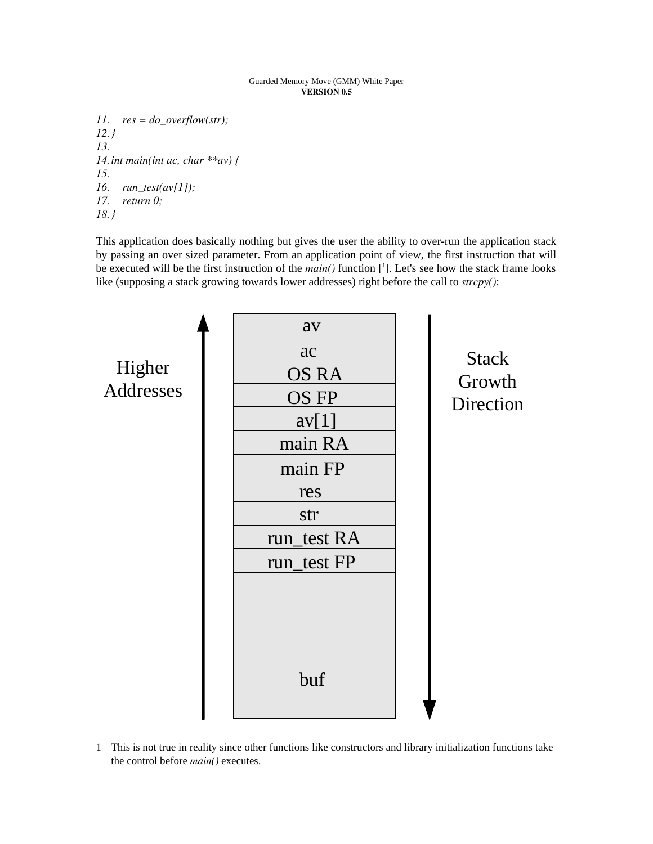*11. res = do\_overflow(str); 12.} 13. 14.int main(int ac, char \*\*av) { 15. 16. run\_test(av[1]); 17. return 0; 18.}*

This application does basically nothing but gives the user the ability to over-run the application stack by passing an over sized parameter. From an application point of view, the first instruction that will be executed will be the first instruction of the *main()* function [ 1 ]. Let's see how the stack frame looks like (supposing a stack growing towards lower addresses) right before the call to *strcpy()*:



<sup>1</sup> This is not true in reality since other functions like constructors and library initialization functions take the control before *main()* executes.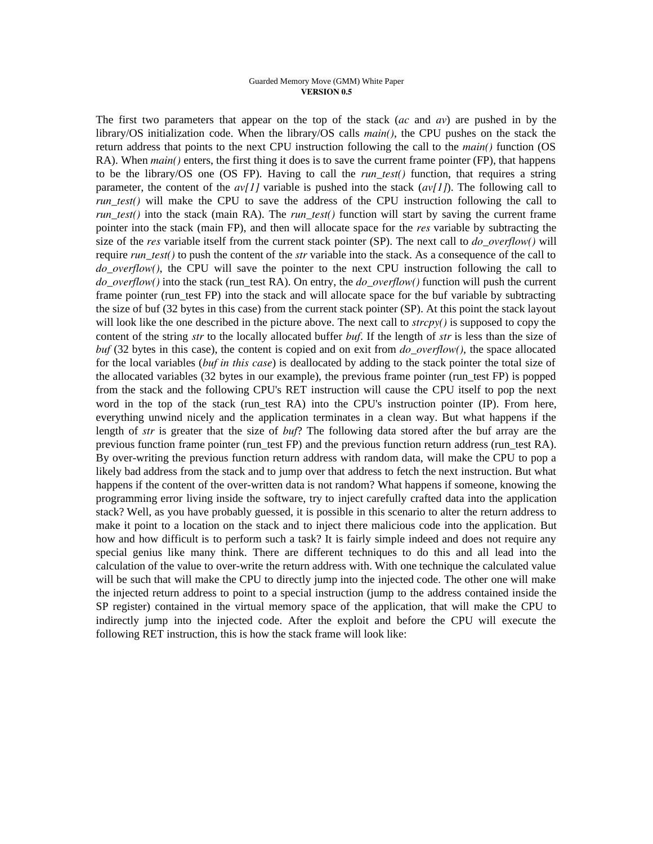The first two parameters that appear on the top of the stack (*ac* and *av*) are pushed in by the library/OS initialization code. When the library/OS calls *main()*, the CPU pushes on the stack the return address that points to the next CPU instruction following the call to the *main()* function (OS RA). When *main()* enters, the first thing it does is to save the current frame pointer (FP), that happens to be the library/OS one (OS FP). Having to call the *run\_test()* function, that requires a string parameter, the content of the *av[1]* variable is pushed into the stack (*av[1]*). The following call to *run\_test()* will make the CPU to save the address of the CPU instruction following the call to *run\_test()* into the stack (main RA). The *run\_test()* function will start by saving the current frame pointer into the stack (main FP), and then will allocate space for the *res* variable by subtracting the size of the *res* variable itself from the current stack pointer (SP). The next call to *do\_overflow()* will require *run\_test()* to push the content of the *str* variable into the stack. As a consequence of the call to *do\_overflow()*, the CPU will save the pointer to the next CPU instruction following the call to *do\_overflow()* into the stack (run\_test RA). On entry, the *do\_overflow()* function will push the current frame pointer (run test FP) into the stack and will allocate space for the buf variable by subtracting the size of buf (32 bytes in this case) from the current stack pointer (SP). At this point the stack layout will look like the one described in the picture above. The next call to *strcpy()* is supposed to copy the content of the string *str* to the locally allocated buffer *buf*. If the length of *str* is less than the size of *buf* (32 bytes in this case), the content is copied and on exit from *do\_overflow()*, the space allocated for the local variables (*buf in this case*) is deallocated by adding to the stack pointer the total size of the allocated variables (32 bytes in our example), the previous frame pointer (run\_test FP) is popped from the stack and the following CPU's RET instruction will cause the CPU itself to pop the next word in the top of the stack (run\_test RA) into the CPU's instruction pointer (IP). From here, everything unwind nicely and the application terminates in a clean way. But what happens if the length of *str* is greater that the size of *buf*? The following data stored after the buf array are the previous function frame pointer (run\_test FP) and the previous function return address (run\_test RA). By over-writing the previous function return address with random data, will make the CPU to pop a likely bad address from the stack and to jump over that address to fetch the next instruction. But what happens if the content of the over-written data is not random? What happens if someone, knowing the programming error living inside the software, try to inject carefully crafted data into the application stack? Well, as you have probably guessed, it is possible in this scenario to alter the return address to make it point to a location on the stack and to inject there malicious code into the application. But how and how difficult is to perform such a task? It is fairly simple indeed and does not require any special genius like many think. There are different techniques to do this and all lead into the calculation of the value to over-write the return address with. With one technique the calculated value will be such that will make the CPU to directly jump into the injected code. The other one will make the injected return address to point to a special instruction (jump to the address contained inside the SP register) contained in the virtual memory space of the application, that will make the CPU to indirectly jump into the injected code. After the exploit and before the CPU will execute the following RET instruction, this is how the stack frame will look like: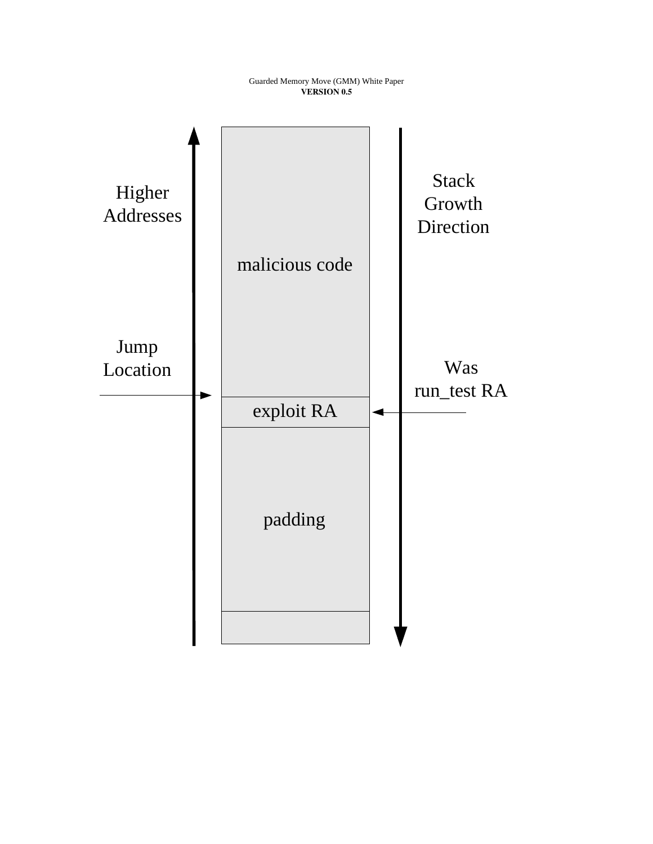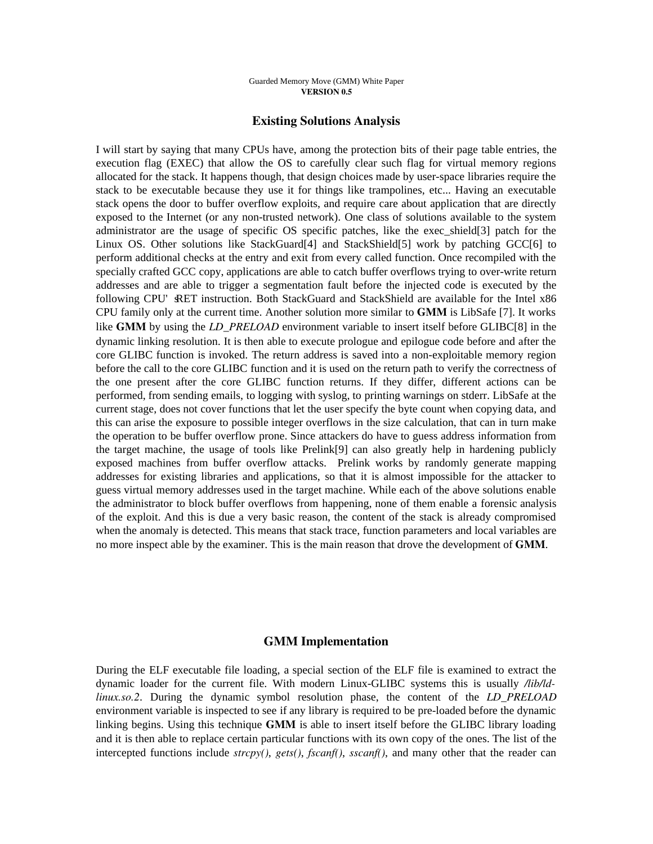### Existing Solutions Analysis

I will start by saying that many CPUs have, among the protection bits of their page table entries, the execution flag (EXEC) that allow the OS to carefully clear such flag for virtual memory regions allocated for the stack. It happens though, that design choices made by user-space libraries require the stack to be executable because they use it for things like trampolines, etc... Having an executable stack opens the door to buffer overflow exploits, and require care about application that are directly exposed to the Internet (or any non-trusted network). One class of solutions available to the system administrator are the usage of specific OS specific patches, like the exec\_shield[3] patch for the Linux OS. Other solutions like StackGuard[4] and StackShield[5] work by patching GCC[6] to perform additional checks at the entry and exit from every called function. Once recompiled with the specially crafted GCC copy, applications are able to catch buffer overflows trying to over-write return addresses and are able to trigger a segmentation fault before the injected code is executed by the following CPU' RET instruction. Both StackGuard and StackShield are available for the Intel x86 CPU family only at the current time. Another solution more similar to GMM is LibSafe [7]. It works like GMM by using the *LD\_PRELOAD* environment variable to insert itself before GLIBC[8] in the dynamic linking resolution. It is then able to execute prologue and epilogue code before and after the core GLIBC function is invoked. The return address is saved into a non-exploitable memory region before the call to the core GLIBC function and it is used on the return path to verify the correctness of the one present after the core GLIBC function returns. If they differ, different actions can be performed, from sending emails, to logging with syslog, to printing warnings on stderr. LibSafe at the current stage, does not cover functions that let the user specify the byte count when copying data, and this can arise the exposure to possible integer overflows in the size calculation, that can in turn make the operation to be buffer overflow prone. Since attackers do have to guess address information from the target machine, the usage of tools like Prelink[9] can also greatly help in hardening publicly exposed machines from buffer overflow attacks. Prelink works by randomly generate mapping addresses for existing libraries and applications, so that it is almost impossible for the attacker to guess virtual memory addresses used in the target machine. While each of the above solutions enable the administrator to block buffer overflows from happening, none of them enable a forensic analysis of the exploit. And this is due a very basic reason, the content of the stack is already compromised when the anomaly is detected. This means that stack trace, function parameters and local variables are no more inspect able by the examiner. This is the main reason that drove the development of GMM.

### GMM Implementation

During the ELF executable file loading, a special section of the ELF file is examined to extract the dynamic loader for the current file. With modern Linux-GLIBC systems this is usually */lib/ldlinux.so.2*. During the dynamic symbol resolution phase, the content of the *LD\_PRELOAD* environment variable is inspected to see if any library is required to be pre-loaded before the dynamic linking begins. Using this technique GMM is able to insert itself before the GLIBC library loading and it is then able to replace certain particular functions with its own copy of the ones. The list of the intercepted functions include *strcpy()*, *gets()*, *fscanf()*, *sscanf()*, and many other that the reader can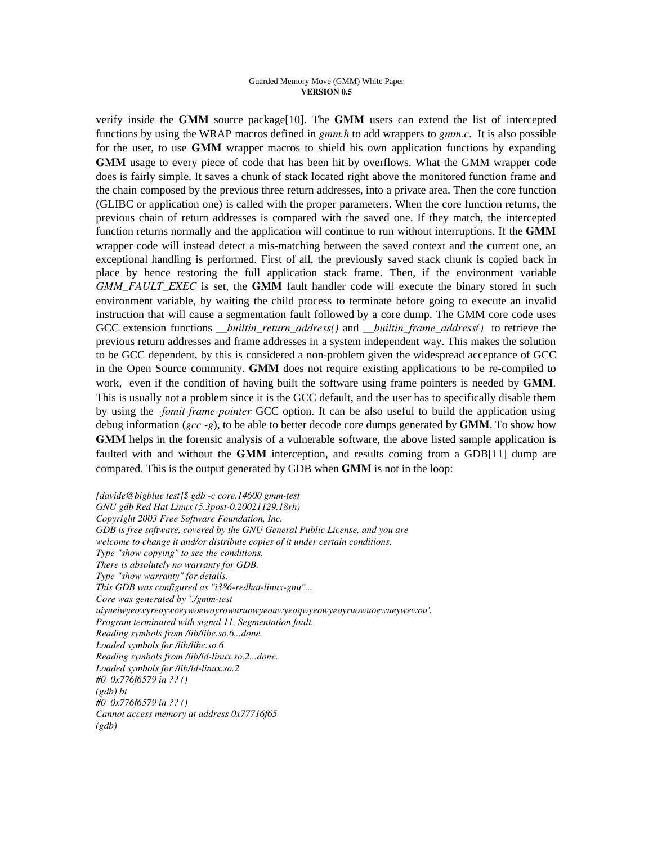verify inside the GMM source package[10]. The GMM users can extend the list of intercepted functions by using the WRAP macros defined in *gmm.h* to add wrappers to *gmm.c*. It is also possible for the user, to use GMM wrapper macros to shield his own application functions by expanding GMM usage to every piece of code that has been hit by overflows. What the GMM wrapper code does is fairly simple. It saves a chunk of stack located right above the monitored function frame and the chain composed by the previous three return addresses, into a private area. Then the core function (GLIBC or application one) is called with the proper parameters. When the core function returns, the previous chain of return addresses is compared with the saved one. If they match, the intercepted function returns normally and the application will continue to run without interruptions. If the GMM wrapper code will instead detect a mis-matching between the saved context and the current one, an exceptional handling is performed. First of all, the previously saved stack chunk is copied back in place by hence restoring the full application stack frame. Then, if the environment variable *GMM\_FAULT\_EXEC* is set, the GMM fault handler code will execute the binary stored in such environment variable, by waiting the child process to terminate before going to execute an invalid instruction that will cause a segmentation fault followed by a core dump. The GMM core code uses GCC extension functions *\_\_builtin\_return\_address()* and *\_\_builtin\_frame\_address()* to retrieve the previous return addresses and frame addresses in a system independent way. This makes the solution to be GCC dependent, by this is considered a non-problem given the widespread acceptance of GCC in the Open Source community. GMM does not require existing applications to be re-compiled to work, even if the condition of having built the software using frame pointers is needed by GMM. This is usually not a problem since it is the GCC default, and the user has to specifically disable them by using the *-fomit-frame-pointer* GCC option. It can be also useful to build the application using debug information (*gcc -g*), to be able to better decode core dumps generated by GMM. To show how GMM helps in the forensic analysis of a vulnerable software, the above listed sample application is faulted with and without the **GMM** interception, and results coming from a GDB[11] dump are compared. This is the output generated by GDB when **GMM** is not in the loop:

*[davide@bigblue test]\$ gdb -c core.14600 gmm-test GNU gdb Red Hat Linux (5.3post-0.20021129.18rh) Copyright 2003 Free Software Foundation, Inc. GDB is free software, covered by the GNU General Public License, and you are welcome to change it and/or distribute copies of it under certain conditions. Type "show copying" to see the conditions. There is absolutely no warranty for GDB. Type "show warranty" for details. This GDB was configured as "i386-redhat-linux-gnu"... Core was generated by `./gmm-test uiyueiwyeowyreoywoeywoewoyrowuruowyeouwyeoqwyeowyeoyruowuoewueywewou'. Program terminated with signal 11, Segmentation fault. Reading symbols from /lib/libc.so.6...done. Loaded symbols for /lib/libc.so.6 Reading symbols from /lib/ld-linux.so.2...done. Loaded symbols for /lib/ld-linux.so.2 #0 0x776f6579 in ?? () (gdb) bt #0 0x776f6579 in ?? () Cannot access memory at address 0x77716f65 (gdb)*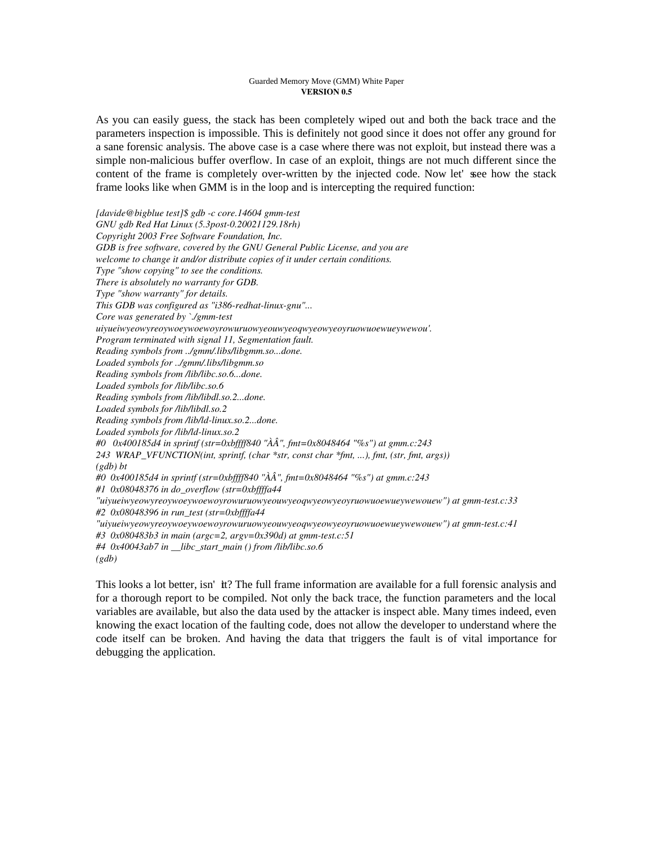As you can easily guess, the stack has been completely wiped out and both the back trace and the parameters inspection is impossible. This is definitely not good since it does not offer any ground for a sane forensic analysis. The above case is a case where there was not exploit, but instead there was a simple non-malicious buffer overflow. In case of an exploit, things are not much different since the content of the frame is completely over-written by the injected code. Now let' see how the stack frame looks like when GMM is in the loop and is intercepting the required function:

*[davide@bigblue test]\$ gdb -c core.14604 gmm-test GNU gdb Red Hat Linux (5.3post-0.20021129.18rh) Copyright 2003 Free Software Foundation, Inc. GDB is free software, covered by the GNU General Public License, and you are welcome to change it and/or distribute copies of it under certain conditions. Type "show copying" to see the conditions. There is absolutely no warranty for GDB. Type "show warranty" for details. This GDB was configured as "i386-redhat-linux-gnu"... Core was generated by `./gmm-test uiyueiwyeowyreoywoeywoewoyrowuruowyeouwyeoqwyeowyeoyruowuoewueywewou'. Program terminated with signal 11, Segmentation fault. Reading symbols from ../gmm/.libs/libgmm.so...done. Loaded symbols for ../gmm/.libs/libgmm.so Reading symbols from /lib/libc.so.6...done. Loaded symbols for /lib/libc.so.6 Reading symbols from /lib/libdl.so.2...done. Loaded symbols for /lib/libdl.so.2 Reading symbols from /lib/ld-linux.so.2...done. Loaded symbols for /lib/ld-linux.so.2 #0 0x400185d4 in sprintf (str=0xbffff840 "ÀÂ", fmt=0x8048464 "%s") at gmm.c:243 243 WRAP\_VFUNCTION(int, sprintf, (char \*str, const char \*fmt, ...), fmt, (str, fmt, args)) (gdb) bt #0 0x400185d4 in sprintf (str=0xbffff840 "ÀÂ", fmt=0x8048464 "%s") at gmm.c:243 #1 0x08048376 in do\_overflow (str=0xbffffa44 "uiyueiwyeowyreoywoeywoewoyrowuruowyeouwyeoqwyeowyeoyruowuoewueywewouew") at gmm-test.c:33 #2 0x08048396 in run\_test (str=0xbffffa44 "uiyueiwyeowyreoywoeywoewoyrowuruowyeouwyeoqwyeowyeoyruowuoewueywewouew") at gmm-test.c:41 #3 0x080483b3 in main (argc=2, argv=0x390d) at gmm-test.c:51 #4 0x40043ab7 in \_\_libc\_start\_main () from /lib/libc.so.6 (gdb)*

This looks a lot better, isn'tit? The full frame information are available for a full forensic analysis and for a thorough report to be compiled. Not only the back trace, the function parameters and the local variables are available, but also the data used by the attacker is inspect able. Many times indeed, even knowing the exact location of the faulting code, does not allow the developer to understand where the code itself can be broken. And having the data that triggers the fault is of vital importance for debugging the application.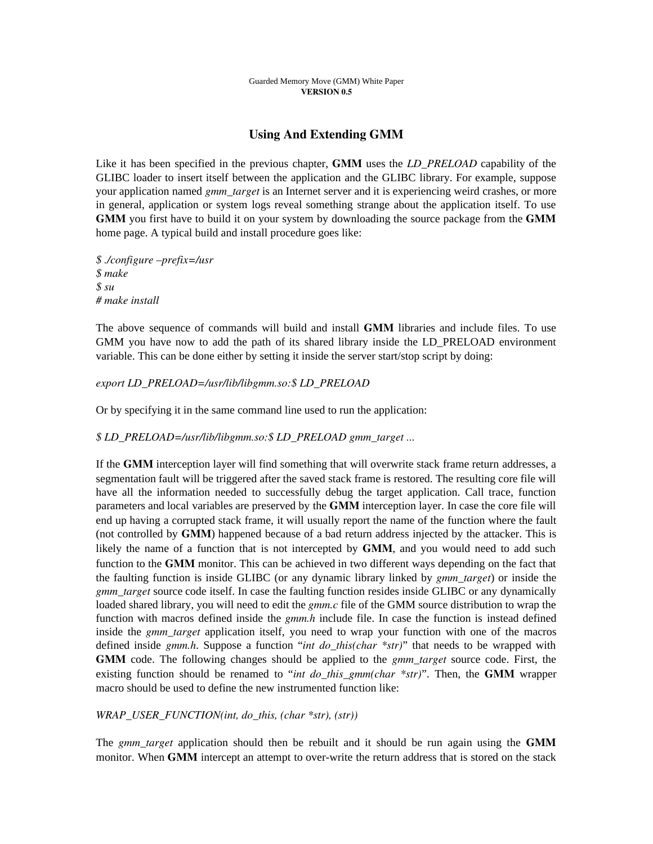# Using And Extending GMM

Like it has been specified in the previous chapter, GMM uses the *LD\_PRELOAD* capability of the GLIBC loader to insert itself between the application and the GLIBC library. For example, suppose your application named *gmm\_target* is an Internet server and it is experiencing weird crashes, or more in general, application or system logs reveal something strange about the application itself. To use GMM you first have to build it on your system by downloading the source package from the GMM home page. A typical build and install procedure goes like:

*\$ ./configure –prefix=/usr \$ make \$ su # make install*

The above sequence of commands will build and install GMM libraries and include files. To use GMM you have now to add the path of its shared library inside the LD PRELOAD environment variable. This can be done either by setting it inside the server start/stop script by doing:

### *export LD\_PRELOAD=/usr/lib/libgmm.so:\$ LD\_PRELOAD*

Or by specifying it in the same command line used to run the application:

### *\$ LD\_PRELOAD=/usr/lib/libgmm.so:\$ LD\_PRELOAD gmm\_target ...*

If the GMM interception layer will find something that will overwrite stack frame return addresses, a segmentation fault will be triggered after the saved stack frame is restored. The resulting core file will have all the information needed to successfully debug the target application. Call trace, function parameters and local variables are preserved by the GMM interception layer. In case the core file will end up having a corrupted stack frame, it will usually report the name of the function where the fault (not controlled by GMM) happened because of a bad return address injected by the attacker. This is likely the name of a function that is not intercepted by GMM, and you would need to add such function to the GMM monitor. This can be achieved in two different ways depending on the fact that the faulting function is inside GLIBC (or any dynamic library linked by *gmm\_target*) or inside the *gmm\_target* source code itself. In case the faulting function resides inside GLIBC or any dynamically loaded shared library, you will need to edit the *gmm.c* file of the GMM source distribution to wrap the function with macros defined inside the *gmm.h* include file. In case the function is instead defined inside the *gmm\_target* application itself, you need to wrap your function with one of the macros defined inside *gmm.h*. Suppose a function "*int do\_this(char \*str)*" that needs to be wrapped with GMM code. The following changes should be applied to the *gmm\_target* source code. First, the existing function should be renamed to "*int do\_this\_gmm(char \*str)*". Then, the GMM wrapper macro should be used to define the new instrumented function like:

### *WRAP\_USER\_FUNCTION(int, do\_this, (char \*str), (str))*

The *gmm\_target* application should then be rebuilt and it should be run again using the GMM monitor. When GMM intercept an attempt to over-write the return address that is stored on the stack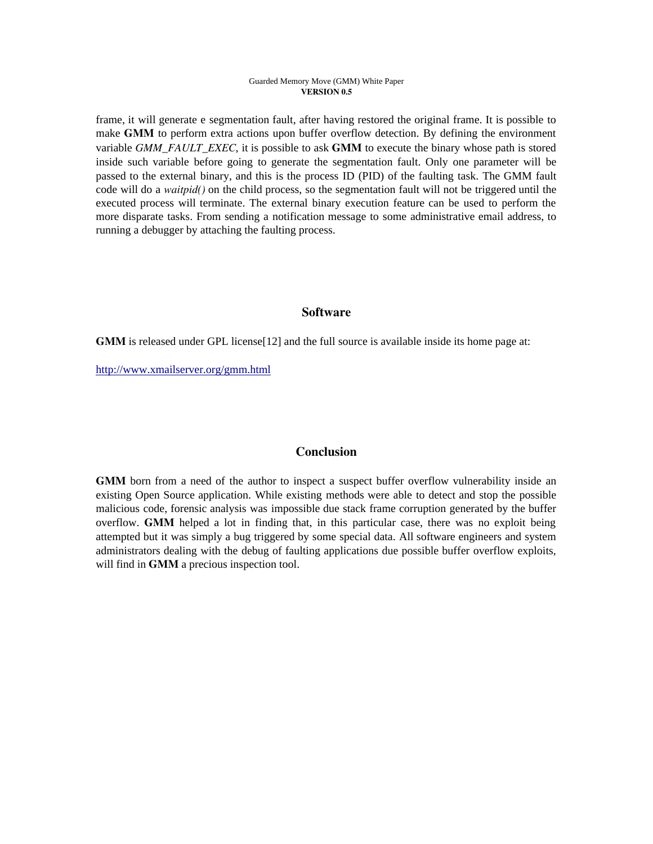frame, it will generate e segmentation fault, after having restored the original frame. It is possible to make GMM to perform extra actions upon buffer overflow detection. By defining the environment variable *GMM\_FAULT\_EXEC*, it is possible to ask **GMM** to execute the binary whose path is stored inside such variable before going to generate the segmentation fault. Only one parameter will be passed to the external binary, and this is the process ID (PID) of the faulting task. The GMM fault code will do a *waitpid()* on the child process, so the segmentation fault will not be triggered until the executed process will terminate. The external binary execution feature can be used to perform the more disparate tasks. From sending a notification message to some administrative email address, to running a debugger by attaching the faulting process.

## **Software**

GMM is released under GPL license[12] and the full source is available inside its home page at:

http://www.xmailserver.org/gmm.html

## **Conclusion**

GMM born from a need of the author to inspect a suspect buffer overflow vulnerability inside an existing Open Source application. While existing methods were able to detect and stop the possible malicious code, forensic analysis was impossible due stack frame corruption generated by the buffer overflow. GMM helped a lot in finding that, in this particular case, there was no exploit being attempted but it was simply a bug triggered by some special data. All software engineers and system administrators dealing with the debug of faulting applications due possible buffer overflow exploits, will find in **GMM** a precious inspection tool.